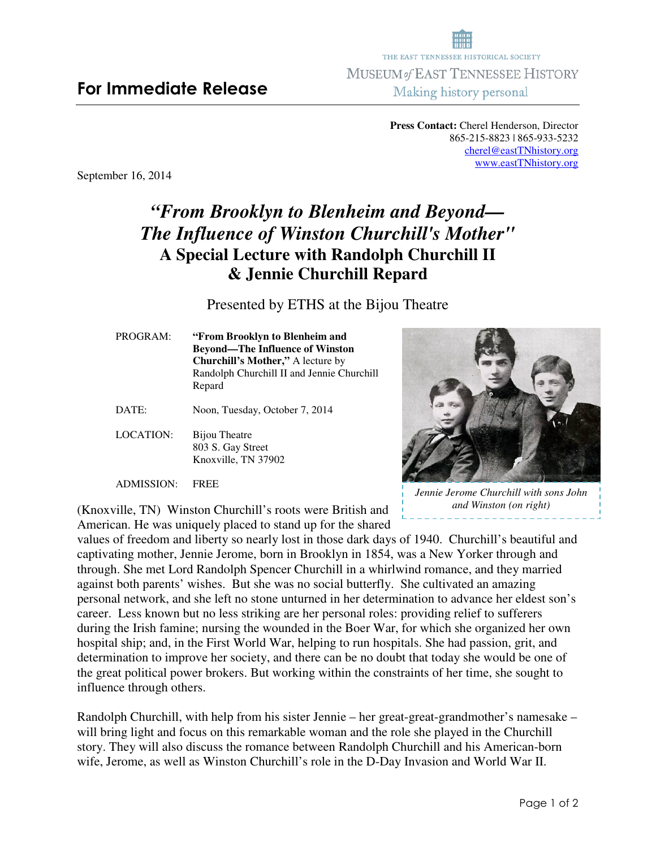## **For Immediate Release**

**Press Contact:** Cherel Henderson, Director 865-215-8823 | 865-933-5232 cherel@eastTNhistory.org www.eastTNhistory.org

THE EAST TENNESSEE HISTORICAL SOCIETY **MUSEUM of EAST TENNESSEE HISTORY** Making history personal

September 16, 2014

# *"From Brooklyn to Blenheim and Beyond— The Influence of Winston Churchill's Mother"*  **A Special Lecture with Randolph Churchill II & Jennie Churchill Repard**

Presented by ETHS at the Bijou Theatre

**Churchill's Mother,"** A lecture by Randolph Churchill II and Jennie Churchill Repard DATE: Noon, Tuesday, October 7, 2014

PROGRAM: **"From Brooklyn to Blenheim and** 

**Beyond—The Influence of Winston** 

LOCATION: Bijou Theatre 803 S. Gay Street Knoxville, TN 37902

ADMISSION: FREE

*Jennie Jerome Churchill with sons John and Winston (on right)* 

(Knoxville, TN) Winston Churchill's roots were British and American. He was uniquely placed to stand up for the shared

values of freedom and liberty so nearly lost in those dark days of 1940. Churchill's beautiful and captivating mother, Jennie Jerome, born in Brooklyn in 1854, was a New Yorker through and through. She met Lord Randolph Spencer Churchill in a whirlwind romance, and they married against both parents' wishes. But she was no social butterfly. She cultivated an amazing personal network, and she left no stone unturned in her determination to advance her eldest son's career. Less known but no less striking are her personal roles: providing relief to sufferers during the Irish famine; nursing the wounded in the Boer War, for which she organized her own hospital ship; and, in the First World War, helping to run hospitals. She had passion, grit, and determination to improve her society, and there can be no doubt that today she would be one of the great political power brokers. But working within the constraints of her time, she sought to influence through others.

Randolph Churchill, with help from his sister Jennie – her great-great-grandmother's namesake – will bring light and focus on this remarkable woman and the role she played in the Churchill story. They will also discuss the romance between Randolph Churchill and his American-born wife, Jerome, as well as Winston Churchill's role in the D-Day Invasion and World War II.